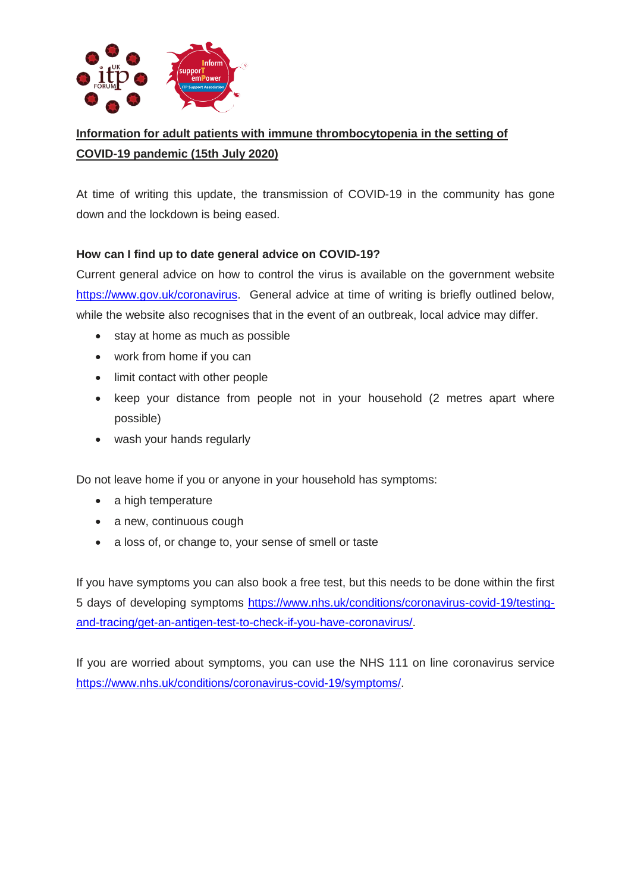

# **Information for adult patients with immune thrombocytopenia in the setting of COVID-19 pandemic (15th July 2020)**

At time of writing this update, the transmission of COVID-19 in the community has gone down and the lockdown is being eased.

### **How can I find up to date general advice on COVID-19?**

Current general advice on how to control the virus is available on the government website [https://www.gov.uk/coronavirus.](https://www.gov.uk/coronavirus) General advice at time of writing is briefly outlined below, while the website also recognises that in the event of an outbreak, local advice may differ.

- stay at home as much as possible
- work from home if you can
- limit contact with other people
- keep your distance from people not in your household (2 metres apart where possible)
- wash your hands regularly

Do not leave home if you or anyone in your household has symptoms:

- a high temperature
- a new, continuous cough
- a loss of, or change to, your sense of smell or taste

If you have symptoms you can also book a free test, but this needs to be done within the first 5 days of developing symptoms [https://www.nhs.uk/conditions/coronavirus-covid-19/testing](https://www.nhs.uk/conditions/coronavirus-covid-19/testing-and-tracing/get-an-antigen-test-to-check-if-you-have-coronavirus/)[and-tracing/get-an-antigen-test-to-check-if-you-have-coronavirus/.](https://www.nhs.uk/conditions/coronavirus-covid-19/testing-and-tracing/get-an-antigen-test-to-check-if-you-have-coronavirus/)

If you are worried about symptoms, you can use the NHS 111 on line coronavirus service [https://www.nhs.uk/conditions/coronavirus-covid-19/symptoms/.](https://www.nhs.uk/conditions/coronavirus-covid-19/symptoms/)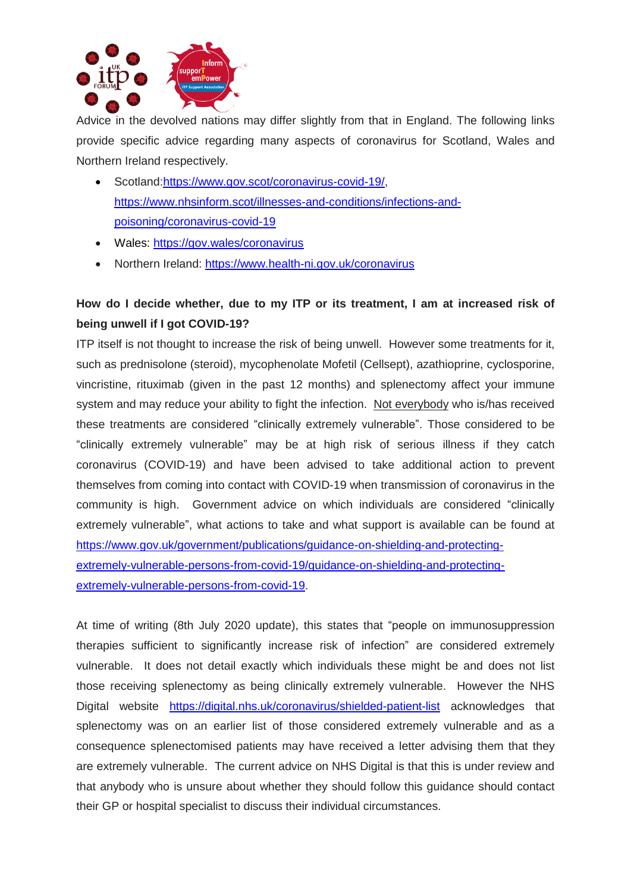

Advice in the devolved nations may differ slightly from that in England. The following links provide specific advice regarding many aspects of coronavirus for Scotland, Wales and Northern Ireland respectively.

- Scotland[:https://www.gov.scot/coronavirus-covid-19/,](https://www.gov.scot/coronavirus-covid-19/) [https://www.nhsinform.scot/illnesses-and-conditions/infections-and](https://www.nhsinform.scot/illnesses-and-conditions/infections-and-poisoning/coronavirus-covid-19)[poisoning/coronavirus-covid-19](https://www.nhsinform.scot/illnesses-and-conditions/infections-and-poisoning/coronavirus-covid-19)
- Wales:<https://gov.wales/coronavirus>
- Northern Ireland: <https://www.health-ni.gov.uk/coronavirus>

## **How do I decide whether, due to my ITP or its treatment, I am at increased risk of being unwell if I got COVID-19?**

ITP itself is not thought to increase the risk of being unwell. However some treatments for it, such as prednisolone (steroid), mycophenolate Mofetil (Cellsept), azathioprine, cyclosporine, vincristine, rituximab (given in the past 12 months) and splenectomy affect your immune system and may reduce your ability to fight the infection. Not everybody who is/has received these treatments are considered "clinically extremely vulnerable". Those considered to be "clinically extremely vulnerable" may be at high risk of serious illness if they catch coronavirus (COVID-19) and have been advised to take additional action to prevent themselves from coming into contact with COVID-19 when transmission of coronavirus in the community is high. Government advice on which individuals are considered "clinically extremely vulnerable", what actions to take and what support is available can be found at [https://www.gov.uk/government/publications/guidance-on-shielding-and-protecting](https://www.gov.uk/government/publications/guidance-on-shielding-and-protecting-extremely-vulnerable-persons-from-covid-19/guidance-on-shielding-and-protecting-extremely-vulnerable-persons-from-covid-19)[extremely-vulnerable-persons-from-covid-19/guidance-on-shielding-and-protecting](https://www.gov.uk/government/publications/guidance-on-shielding-and-protecting-extremely-vulnerable-persons-from-covid-19/guidance-on-shielding-and-protecting-extremely-vulnerable-persons-from-covid-19)[extremely-vulnerable-persons-from-covid-19.](https://www.gov.uk/government/publications/guidance-on-shielding-and-protecting-extremely-vulnerable-persons-from-covid-19/guidance-on-shielding-and-protecting-extremely-vulnerable-persons-from-covid-19)

At time of writing (8th July 2020 update), this states that "people on immunosuppression therapies sufficient to significantly increase risk of infection" are considered extremely vulnerable. It does not detail exactly which individuals these might be and does not list those receiving splenectomy as being clinically extremely vulnerable. However the NHS Digital website <https://digital.nhs.uk/coronavirus/shielded-patient-list> acknowledges that splenectomy was on an earlier list of those considered extremely vulnerable and as a consequence splenectomised patients may have received a letter advising them that they are extremely vulnerable. The current advice on NHS Digital is that this is under review and that anybody who is unsure about whether they should follow this guidance should contact their GP or hospital specialist to discuss their individual circumstances.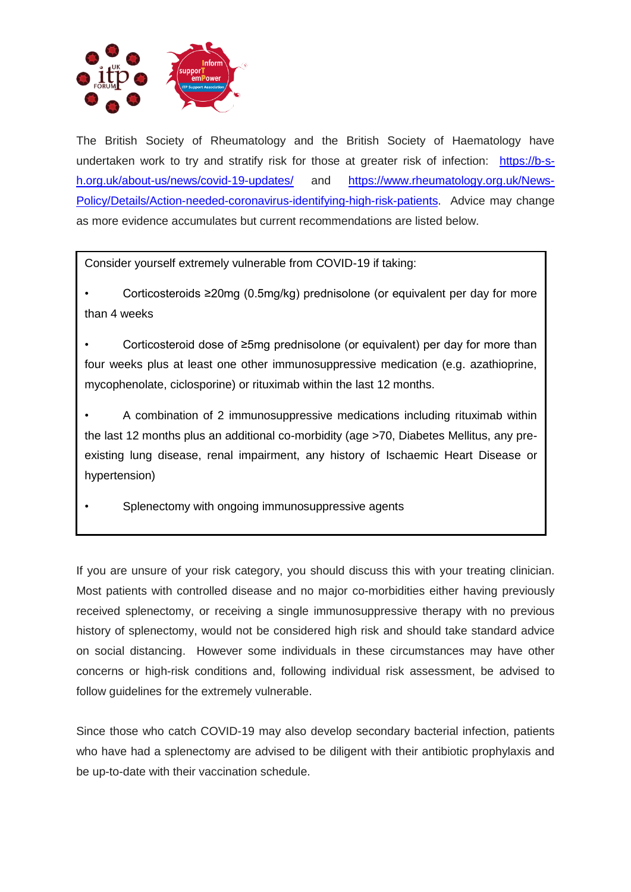

The British Society of Rheumatology and the British Society of Haematology have undertaken work to try and stratify risk for those at greater risk of infection: [https://b-s](https://b-s-h.org.uk/about-us/news/covid-19-updates/)[h.org.uk/about-us/news/covid-19-updates/](https://b-s-h.org.uk/about-us/news/covid-19-updates/) and [https://www.rheumatology.org.uk/News-](https://www.rheumatology.org.uk/News-Policy/Details/Action-needed-coronavirus-identifying-high-risk-patients)[Policy/Details/Action-needed-coronavirus-identifying-high-risk-patients.](https://www.rheumatology.org.uk/News-Policy/Details/Action-needed-coronavirus-identifying-high-risk-patients) Advice may change as more evidence accumulates but current recommendations are listed below.

Consider yourself extremely vulnerable from COVID-19 if taking:

• Corticosteroids ≥20mg (0.5mg/kg) prednisolone (or equivalent per day for more than 4 weeks

• Corticosteroid dose of ≥5mg prednisolone (or equivalent) per day for more than four weeks plus at least one other immunosuppressive medication (e.g. azathioprine, mycophenolate, ciclosporine) or rituximab within the last 12 months.

• A combination of 2 immunosuppressive medications including rituximab within the last 12 months plus an additional co-morbidity (age >70, Diabetes Mellitus, any preexisting lung disease, renal impairment, any history of Ischaemic Heart Disease or hypertension)

Splenectomy with ongoing immunosuppressive agents

If you are unsure of your risk category, you should discuss this with your treating clinician. Most patients with controlled disease and no major co-morbidities either having previously received splenectomy, or receiving a single immunosuppressive therapy with no previous history of splenectomy, would not be considered high risk and should take standard advice on social distancing. However some individuals in these circumstances may have other concerns or high-risk conditions and, following individual risk assessment, be advised to follow guidelines for the extremely vulnerable.

Since those who catch COVID-19 may also develop secondary bacterial infection, patients who have had a splenectomy are advised to be diligent with their antibiotic prophylaxis and be up-to-date with their vaccination schedule.